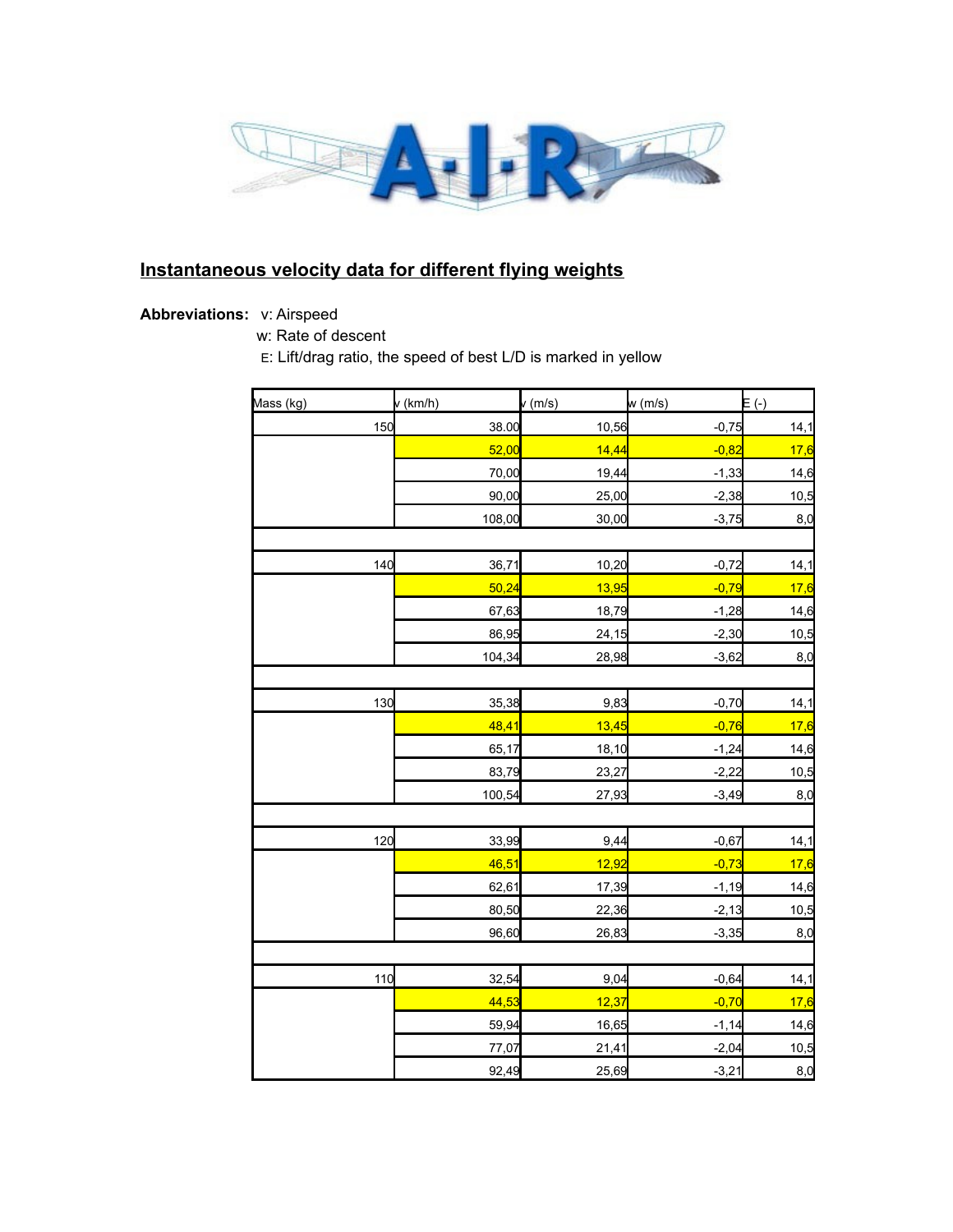

## **Instantaneous velocity data for different flying weights**

## **Abbreviations:** v: Airspeed

- w: Rate of descent
- E: Lift/drag ratio, the speed of best L/D is marked in yellow

| Mass (kg) | $v$ (km/h) | v(m/s) | w(m/s)  | $E(\cdot)$ |
|-----------|------------|--------|---------|------------|
| 150       | 38.00      | 10,56  | $-0,75$ | 14,1       |
|           | 52,00      | 14,44  | $-0,82$ | 17,6       |
|           | 70,00      | 19,44  | $-1,33$ | 14,6       |
|           | 90,00      | 25,00  | $-2,38$ | 10,5       |
|           | 108,00     | 30,00  | $-3,75$ | 8,0        |
|           |            |        |         |            |
| 140       | 36,71      | 10,20  | $-0,72$ | 14,1       |
|           | 50,24      | 13,95  | $-0,79$ | 17,6       |
|           | 67,63      | 18,79  | $-1,28$ | 14,6       |
|           | 86,95      | 24,15  | $-2,30$ | 10,5       |
|           | 104,34     | 28,98  | $-3,62$ | 8,0        |
|           |            |        |         |            |
| 130       | 35,38      | 9,83   | $-0,70$ | 14,1       |
|           | 48,41      | 13,45  | $-0,76$ | 17,6       |
|           | 65,17      | 18,10  | $-1,24$ | 14,6       |
|           | 83,79      | 23,27  | $-2,22$ | 10,5       |
|           | 100,54     | 27,93  | $-3,49$ | 8,0        |
|           |            |        |         |            |
| 120       | 33,99      | 9,44   | $-0,67$ | 14,1       |
|           | 46,51      | 12,92  | $-0,73$ | 17,6       |
|           | 62,61      | 17,39  | $-1,19$ | 14,6       |
|           | 80,50      | 22,36  | $-2,13$ | 10,5       |
|           | 96,60      | 26,83  | $-3,35$ | 8,0        |
|           |            |        |         |            |
| 110       | 32,54      | 9,04   | $-0,64$ | 14,1       |
|           | 44,53      | 12,37  | $-0,70$ | 17,6       |
|           | 59,94      | 16,65  | $-1,14$ | 14,6       |
|           | 77,07      | 21,41  | $-2,04$ | 10,5       |
|           | 92,49      | 25,69  | $-3,21$ | 8,0        |